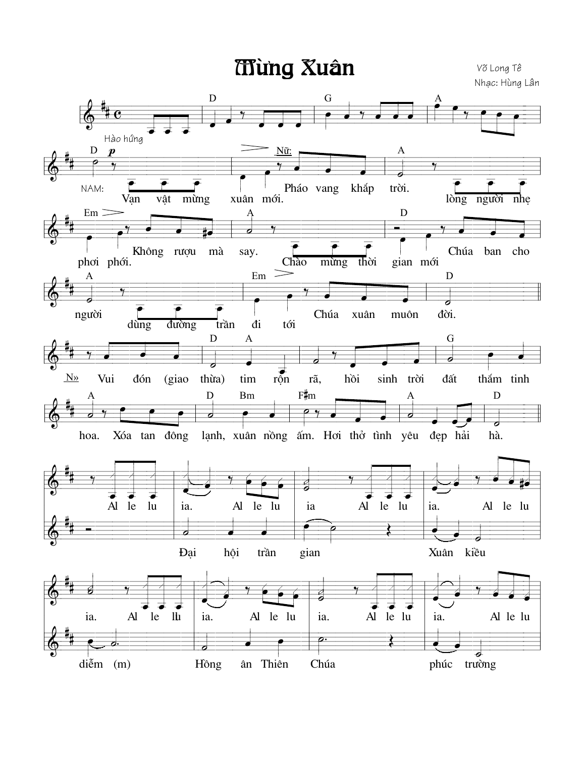**Ting Xuân** 

Võ Long Tê Nhạc: Hùng Lân